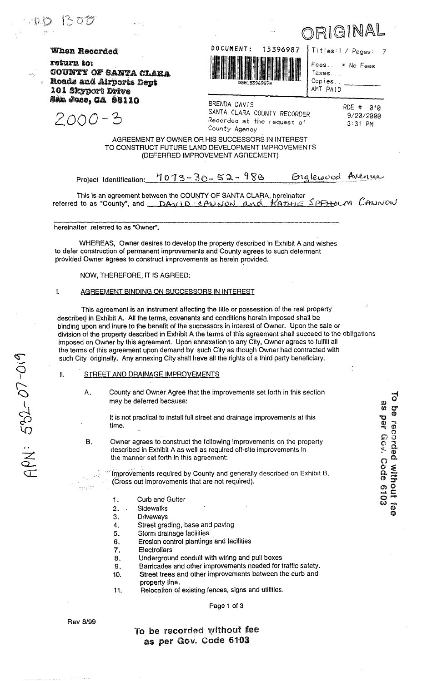When Recorded

2000-3

return to: COUNTY OF SANTA CLARA Roads and Airports Dept 101 Skyport Drive San Jose, CA 98110

DOCUMENT: 15396987

| itles:1 / Pages: |
|------------------|
| ees* No Fees     |
| axes             |
| opies            |
| <b>MT PAID</b>   |

Ē

 $\overline{1}$ 

 $\overline{C}$ A

RIGINAL

BRENDA DAVIS SANTA CLARA COUNTY RECORDER Recorded at the request of County Agency

RDE # 010 9/20/2000 3:31 PM

 $\overline{7}$ 

## AGREEMENT BY OWNER OR HIS SUCCESSORS IN INTEREST TO CONSTRUCT FUTURE LAND DEVELOPMENT IMPROVEMENTS (DEFERRED IMPROVEMENT AGREEMENT)

 $7073 - 30 - 52 - 988$ Englewood Avenue Project Identification:

This is an agreement between the COUNTY OF SANTA CLARA, hereinafter referred to as "County", and DAVID CANNON and KATHIE SAFHOLM CANNON

hereinafter referred to as "Owner".

WHEREAS, Owner desires to develop the property described in Exhibit A and wishes to defer construction of permanent improvements and County agrees to such deferment provided Owner agrees to construct improvements as herein provided.

NOW, THEREFORE, IT IS AGREED:

#### $\mathbf{I}$ AGREEMENT BINDING ON SUCCESSORS IN INTEREST

This agreement is an instrument affecting the title or possession of the real property described in Exhibit A. All the terms, covenants and conditions herein imposed shall be binding upon and inure to the benefit of the successors in interest of Owner. Upon the sale or division of the property described in Exhibit A the terms of this agreement shall succeed to the obligations imposed on Owner by this agreement. Upon annexation to any City, Owner agrees to fulfill all the terms of this agreement upon demand by such City as though Owner had contracted with such City originally. Any annexing City shall have all the rights of a third party beneficiary.

- II. STREET AND DRAINAGE IMPROVEMENTS
	- A. County and Owner Agree that the improvements set forth in this section may be deferred because:

It is not practical to install full street and drainage improvements at this time.

**B.** Owner agrees to construct the following improvements on the property described in Exhibit A as well as required off-site improvements in the manner set forth in this agreement:

> Improvements required by County and generally described on Exhibit B. (Cross out improvements that are not required).

- **Curb and Gutter**  $\mathbf{1}$ .
- **Sidewalks**  $\mathbf{P}$ .
- 3. Driveways
- 4. Street grading, base and paving
- Storm drainage facilities 5.
- Erosion control plantings and facilities 6.
- **Electroliers** 7.
- Underground conduit with wiring and pull boxes 8.
- Barricades and other improvements needed for traffic safety. 9.
- Street trees and other improvements between the curb and 10. property line.
- Relocation of existing fences, signs and utilities.  $11.$

Page 1 of 3

**Rev 8/99** 

 $\mathbf{v}$  is a  $\mathbf{v}$ 

 $ADA + 592 - 07 - 019$ 

To be recorded without fee as per Gov. Code 6103

 $\vec{c}$ as per Gous Code 6103 be recorded without fee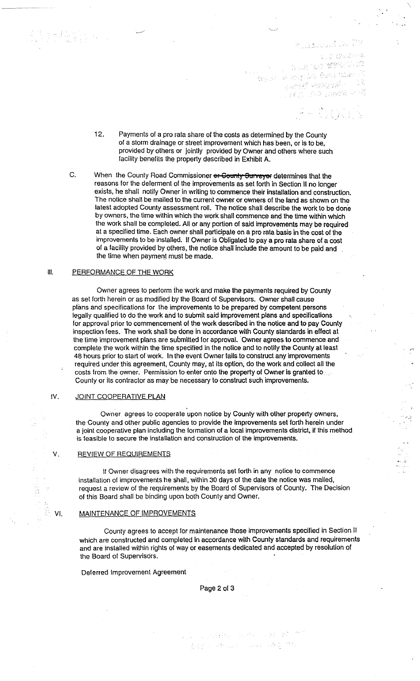1. 2. 经现货户库 LILE ET WYKE PL o do a meninta do Mario.<br>Anton e escritor desenvolveiro. n (1986)<br>Geografi (1987), Mari San Borge (San Borge)

 $\cdot$   $\cdot$ 

- 12. Payments of a pro rata share of the costs as determined by the County of a storm drainage or street improvement which has been. or is to be. provided by others or jointly provided by Owner and others where such facility benefits the property described in Exhibit A.
- C. When the County Road Commissioner or County Surveyor determines that the reasons for the deferment of the improvements as set forth in Section II no longer exists. he shall notify Owner in writing to commence their installation and construction. The notice shall be mailed to the current owner or owners of Ihe land as shown on the latest adopted County assessment roll. The notice shall describe the work to be done by owners. Ihe time within which the work shall commence and the time within which the work shall be completed. All or any portion of said improvements may be required at a specified time. Each owner shall participate on a pro rata basis in the cost of the improvements to be installed. If Owner is Obligated to pay a pro rata share of a cost of a facility provided by others, the notice shall include the amount to be paid and the time when payment must be made.

### III. PERFORMANCE OF THE WORK

Owner agrees to perform ihe work and make the payments required by County as set forth herein or as modified by the Board of Supervisors. Owner shall cause plims and specifications for the improvements to be prepared by competent persons legally qualified to do the work and to submit said improvement plans and specifications for approval prior to commencement of the work described in the notice and to pay County inspection fees. The work shall be done in accordance with County standards in effect at the lime improvement plans are submitted for approval. Owner agrees 10 commence and complete the work within the time specified in the notice and to notify the County at least 48 hours prior to start 01 work. In the event Owner fails to construct any improvements required under this agreement. County may. at its option. do the work and collect all the costs from the owner. Permission to enter onto the property of Owner is granted to County or its contractor as may be necessary to construct such improvements.

### IV. JOINT COOPERATIVE PLAN

Owner agrees to cooperate upon notice by County with other property owners. the County and other public agencies to provide the improvements set forth herein under a joint cooperative plan including the formation of a focal improvements district. if this method is feasible to secure the installation and construction of the improvements.

#### V. REVIEW OF REQUIREMENTS

If Owner disagrees with the requirements set forth in any notice to commence installation of improvements he shall, within 30 days of the date the notice was mailed, request a review of the requirements by the Board of Supervisors of County. The Decision of this Board shall be binding upon both County and Owner.

#### VI. MAINTENANCE OF IMPROVEMENTS

County agrees to accept for maintenance those improvements specified in Section II which are constructed and completed in accordance with County standards and requirements and are installed within rights of way or easements dedicated and accepted by resolution of the Board of Supervisors.

Deferred Improvemenl Agreement

Page 2 of 3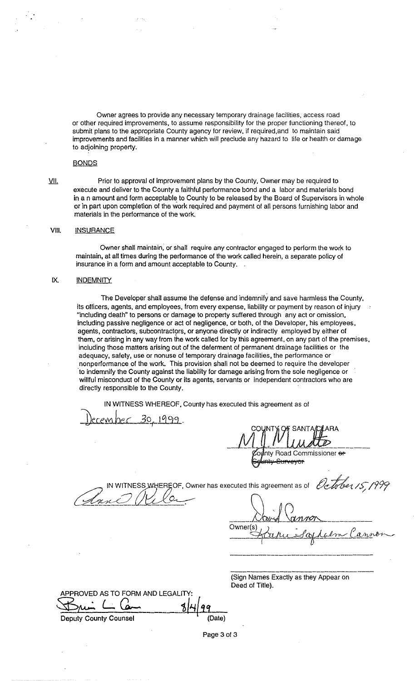Owner agrees to provide any necessary temporary drainage facilities, access road or other required improvements, to assume responsibility for the proper functioning thereof, to submit plans to the appropriate County agency for review, if required,and to maintain said improvements and facilities in a manner which will preclude any hazard to life or health or damage to adjoining property.

### BONDS

VII. Prior to approval of improvement plans by the County, Owner may be required to execute and deliver to the County a faithful performance bond and a labor and materials bond in a n amount and form acceptable to County to be released by the Board of Supervisors in whole or in part upon completion of the work required and payment of all persons furnishing labor and materials in the performance of the work.

### VIII. INSURANCE

Owner shall maintain; or shall require any contractor engaged to perform the work to maintain, at all times during the performance of the work called herein, a separate policy of insurance in a form and amount acceptable to County.

#### IX. INDEMNITY

The Developer shall assume the defense and indemnify and save harmless the County, its officers, agents, and employees, from every expense, liability or payment by reason of injury "including death" to persons or damage to property suffered through any act or omission, including passive negligence or act of negligence, or both, of the Developer, his employees, agents, contractors, subcontractors, or anyone directly or indirectly employed by either of them, or arising in any way from the work called for by this agreement, on any part of the premises, including those matters arising out of the deferment of permanent drainage facilities or the adequacy, safety, use or nonuse of temporary drainage facilities, the performance or nonperformance of the work. This provision shall not be deemed to require the developer ·to indemnify the County against the liability for damage arising from the sole negligence or willful misconduct of the County or its agents, servants or independent contractors who are directly responsible to the County.

IN WITNESS WHEREOF, County has executed this agreement as of

December 30, 1999.

COUNTY OF SANTAICLARA  $M$  ,  $M$  ,  $M$  ,  $M$  ,  $M$  ,  $M$  ,  $M$  ,  $M$  ,  $M$  ,  $M$ nty Road Commissioner <del>or</del> <del>Surveyar</del>

WITNESS WHEREOF, Owner has executed this agreement as of

Owner(s)

(Sign Names Exactly as they Appear on Deed of Title).

APPROVED AS TO FORM AND LEGALITY:  $\frac{1}{\frac{8}{49}}$ 

Deputy County Counsel **County** (Date)

Page 3 of 3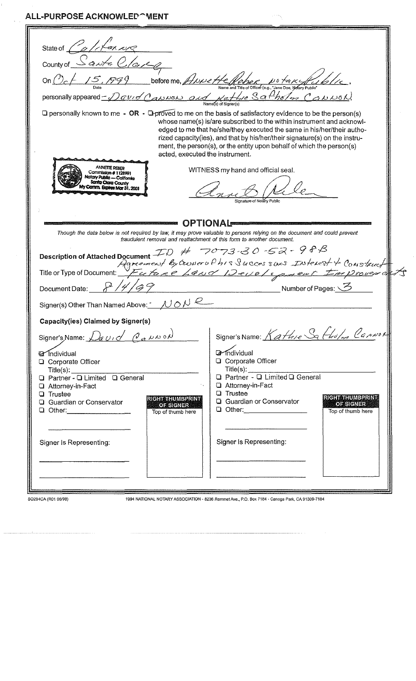ALL-PURPOSE ACKNOWLED^WENT

| State of $Z'$                                                                                                                                                  |                                                                                                                         |
|----------------------------------------------------------------------------------------------------------------------------------------------------------------|-------------------------------------------------------------------------------------------------------------------------|
| County of                                                                                                                                                      |                                                                                                                         |
|                                                                                                                                                                |                                                                                                                         |
| On $0.6 + 15.799$ before me, <i>ANNe He Rebec</i> N& takeful 6/16.<br>Personally appeared - David Cannon and Del Real Control (e.g., "Jane Doe, Notary Public" |                                                                                                                         |
|                                                                                                                                                                |                                                                                                                         |
|                                                                                                                                                                |                                                                                                                         |
| $\Box$ personally known to me - OR - $\Box$ proved to me on the basis of satisfactory evidence to be the person(s)                                             | whose name(s) is/are subscribed to the within instrument and acknowl-                                                   |
|                                                                                                                                                                | edged to me that he/she/they executed the same in his/her/their autho-                                                  |
|                                                                                                                                                                | rized capacity(ies), and that by his/her/their signature(s) on the instru-                                              |
| acted, executed the instrument.                                                                                                                                | ment, the person(s), or the entity upon behalf of which the person(s)                                                   |
| <b>ANNETTE REBER</b>                                                                                                                                           |                                                                                                                         |
| Commission # 1128991<br>Notary Public - California                                                                                                             | WITNESS my hand and official seal.                                                                                      |
| Santa Clara County<br>Comm. Expires Mor 31, 2001                                                                                                               |                                                                                                                         |
|                                                                                                                                                                | Sionature of Notary Public                                                                                              |
|                                                                                                                                                                |                                                                                                                         |
|                                                                                                                                                                | <b>OPTIONAL</b>                                                                                                         |
| Though the data below is not required by law, it may prove valuable to persons relying on the document and could prevent                                       |                                                                                                                         |
| fraudulent removal and reattachment of this form to another document.                                                                                          |                                                                                                                         |
|                                                                                                                                                                | Description of Attached Document $FD \# 7073.30.52 - 988$<br>Agreement by Crower of his Successors Interest 4 Construct |
|                                                                                                                                                                |                                                                                                                         |
|                                                                                                                                                                |                                                                                                                         |
| Document Date:                                                                                                                                                 | Number of Pages: \                                                                                                      |
| Signer(s) Other Than Named Above: $\sim \mu \circ \mu \circ \mu$                                                                                               |                                                                                                                         |
|                                                                                                                                                                |                                                                                                                         |
| Capacity(ies) Claimed by Signer(s)                                                                                                                             |                                                                                                                         |
| Signer's Name: David Cauwon                                                                                                                                    | Signer's Name: Kathie Sa Fholm Cannor                                                                                   |
| <b>a</b> Individual                                                                                                                                            | <b>4</b> Individual                                                                                                     |
| □ Corporate Officer                                                                                                                                            | <b>Q</b> Corporate Officer                                                                                              |
| $\text{Title}(s):$                                                                                                                                             | $\text{Title}(s):$<br>Q Partner - Q Limited Q General                                                                   |
| Q Partner - Q Limited Q General<br><b>Q</b> Attorney-in-Fact                                                                                                   | <b>Q</b> Attorney-in-Fact                                                                                               |
| <b>Q</b> Trustee<br>RIGHT THUMBPRINT                                                                                                                           | <b>Q</b> Trustee<br>RIGHT THUMBPRINT                                                                                    |
| <b>Q</b> Guardian or Conservator<br>OF SIGNER<br>Q Other: 2000                                                                                                 | <b>Q</b> Guardian or Conservator<br>OF SIGNER<br>Q Other: _______________                                               |
| Top of thumb here                                                                                                                                              | Top of thumb here                                                                                                       |
|                                                                                                                                                                |                                                                                                                         |
| Signer Is Representing:                                                                                                                                        | Signer Is Representing:                                                                                                 |
|                                                                                                                                                                |                                                                                                                         |
|                                                                                                                                                                |                                                                                                                         |
|                                                                                                                                                                |                                                                                                                         |
|                                                                                                                                                                |                                                                                                                         |
|                                                                                                                                                                |                                                                                                                         |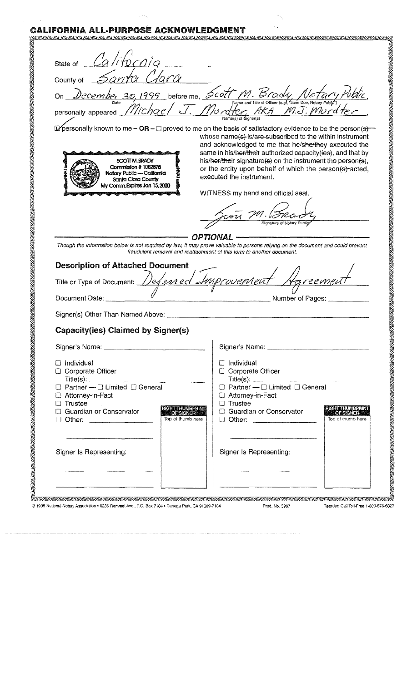# **CALIFORNIA ALL-PURPOSE ACKNOWLEDGMENT**

| State of California                                                                                                                                                                                                                                   |                                                                                                                                                                                  |  |  |
|-------------------------------------------------------------------------------------------------------------------------------------------------------------------------------------------------------------------------------------------------------|----------------------------------------------------------------------------------------------------------------------------------------------------------------------------------|--|--|
|                                                                                                                                                                                                                                                       |                                                                                                                                                                                  |  |  |
| County of                                                                                                                                                                                                                                             |                                                                                                                                                                                  |  |  |
|                                                                                                                                                                                                                                                       |                                                                                                                                                                                  |  |  |
| on December 30, 1999 before me, Scott M. Brady Notary Public,                                                                                                                                                                                         |                                                                                                                                                                                  |  |  |
|                                                                                                                                                                                                                                                       |                                                                                                                                                                                  |  |  |
|                                                                                                                                                                                                                                                       | Expersonally known to me $-\text{OR}-\square$ proved to me on the basis of satisfactory evidence to be the person(s)<br>whose name(s) is/are-subscribed to the within instrument |  |  |
|                                                                                                                                                                                                                                                       | and acknowledged to me that he/she/they executed the                                                                                                                             |  |  |
| SCOTT M.BRADY                                                                                                                                                                                                                                         | same in his/her/their authorized capacity (ies), and that by<br>his/her/their signature(s) on the instrument the person(s),                                                      |  |  |
| Commission # 1082878<br>Notary Public — California                                                                                                                                                                                                    | or the entity upon behalf of which the person(s) acted,                                                                                                                          |  |  |
| Santa Clara County<br>My Comm. Expires Jan 15,2000                                                                                                                                                                                                    | executed the instrument.                                                                                                                                                         |  |  |
|                                                                                                                                                                                                                                                       | WITNESS my hand and official seal.                                                                                                                                               |  |  |
|                                                                                                                                                                                                                                                       |                                                                                                                                                                                  |  |  |
|                                                                                                                                                                                                                                                       | u M. SRad                                                                                                                                                                        |  |  |
|                                                                                                                                                                                                                                                       |                                                                                                                                                                                  |  |  |
| OPTIONAL                                                                                                                                                                                                                                              |                                                                                                                                                                                  |  |  |
|                                                                                                                                                                                                                                                       |                                                                                                                                                                                  |  |  |
|                                                                                                                                                                                                                                                       | fraudulent removal and reattachment of this form to another document.                                                                                                            |  |  |
|                                                                                                                                                                                                                                                       | Though the information below is not required by law, it may prove valuable to persons relying on the document and could prevent                                                  |  |  |
| <b>Description of Attached Document</b>                                                                                                                                                                                                               |                                                                                                                                                                                  |  |  |
|                                                                                                                                                                                                                                                       |                                                                                                                                                                                  |  |  |
| Document Date: _______                                                                                                                                                                                                                                | Title or Type of Document: Defensed Improvement Agreement<br>Number of Pages: __________                                                                                         |  |  |
|                                                                                                                                                                                                                                                       |                                                                                                                                                                                  |  |  |
| Capacity(ies) Claimed by Signer(s)                                                                                                                                                                                                                    |                                                                                                                                                                                  |  |  |
|                                                                                                                                                                                                                                                       |                                                                                                                                                                                  |  |  |
|                                                                                                                                                                                                                                                       |                                                                                                                                                                                  |  |  |
| $\Box$ Individual<br>□ Corporate Officer                                                                                                                                                                                                              | $\Box$ Individual<br>□ Corporate Officer                                                                                                                                         |  |  |
|                                                                                                                                                                                                                                                       | $\text{Title}(s):$                                                                                                                                                               |  |  |
| Title(s): $\Box$ Denoted Denoted Denoted Denoted Denoted Denoted Denoted Denoted Denoted Denoted Denoted Denoted Denoted Denoted Denoted Denoted Denoted Denoted Denoted Denoted Denoted Denoted Denoted Denoted Denoted Denote<br>□ Attorney-in-Fact | $\Box$ Partner $\overline{-}\Box$ Limited $\Box$ General<br>□ Attorney-in-Fact                                                                                                   |  |  |
| $\Box$ Trustee                                                                                                                                                                                                                                        | $\Box$ Trustee<br><b>RIGHT THUMBPRINT</b>                                                                                                                                        |  |  |
| □ Guardian or Conservator                                                                                                                                                                                                                             | □ Guardian or Conservator<br><b>OF SIGNER</b><br><b>OF SIGNER</b><br>Top of thumb here<br>□ Other: _______________                                                               |  |  |
|                                                                                                                                                                                                                                                       |                                                                                                                                                                                  |  |  |
|                                                                                                                                                                                                                                                       |                                                                                                                                                                                  |  |  |
| Signer Is Representing:                                                                                                                                                                                                                               | RICHTTHUMBPRINT<br>Top of thumb here<br>Signer Is Representing:                                                                                                                  |  |  |
|                                                                                                                                                                                                                                                       |                                                                                                                                                                                  |  |  |

@ 1995 National Notary Association . 8236 Remmet Ave., P.O. Box 7184 . Canoga Park, CA 91309-7184 Prod. No. 5907 Reorder: Call Toll-Free 1-800-876-6827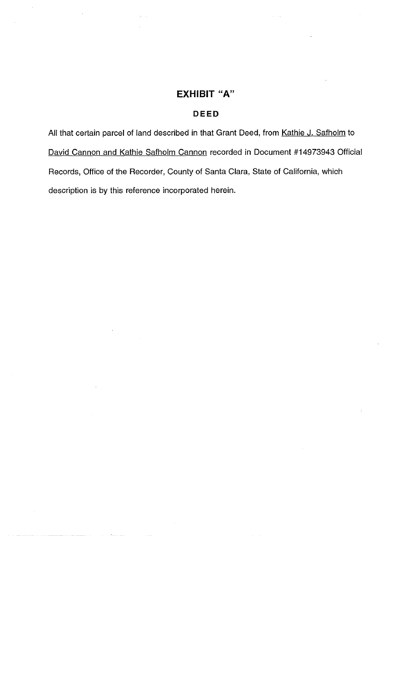# **EXHIBIT "A"**

# **DEED**

All that certain parcel of land described in that Grant Deed, from Kathie J. Safholm to David Cannon and Kathie Safholm Cannon recorded in Document #14973943 Official Records, Office of the Recorder, County of Santa Clara, State of Califomia, which description is by this reference incorporated herein.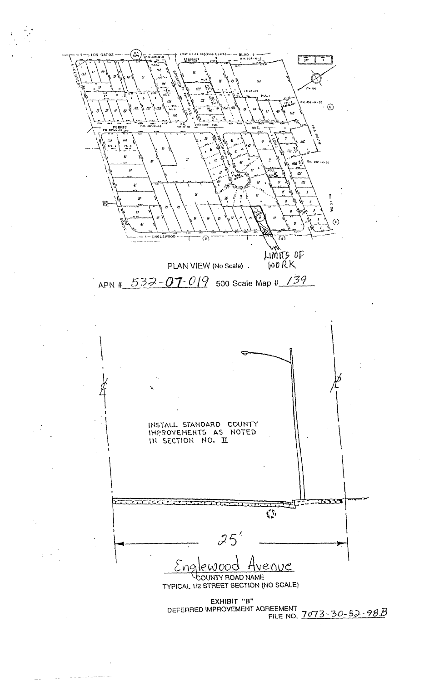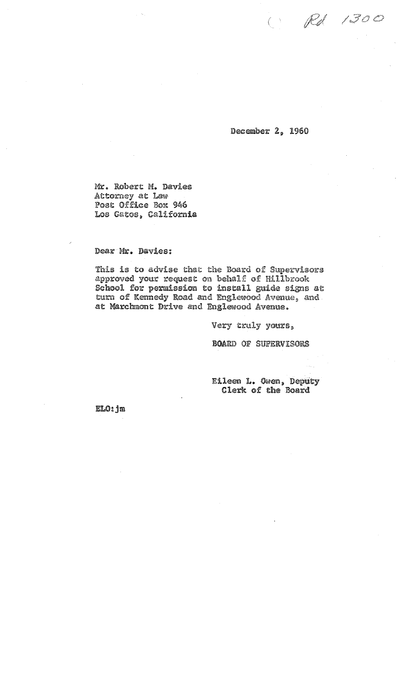$\bigcirc$  Rd 1300

December 2. 1960

Mr. Robert **M.** Davies Attorney at Law-Post Office Box 946 Los Gatos. California

Dear Mr. Davies:

This is to advise that the Board of Supervisors approved your request on behalf of Hillbrook School for permission to install guide signs at turn of Kennedy Road and Englewood Avenue, and at Marchmont Drive and Englewood Avenue.

Very truly yours,

BOARD OF SUPERVISORS

Eileen L. Owen. Deputy Clerk of the Board

ELO: jm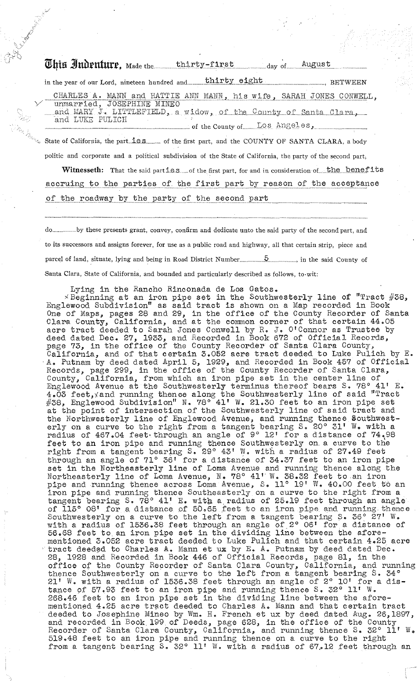|  | This Judenture, Made the thirty-first day of August<br>in the year of our Lord, nineteen hundred and thirty eight<br><b>BETWEEN</b>               |
|--|---------------------------------------------------------------------------------------------------------------------------------------------------|
|  | CHARLES A. MANN and HATTIE ANN MANN, his wife, SARAH JONES CONWELL,                                                                               |
|  | unmarried, JOSEPHINE MINEO<br>and MARY J. LITTLEFIELD, a widow, of the County of Santa Clara,<br>and LUKE PULICH<br>of the County of LOS Angeles, |
|  | $\mathcal{A}_{k_1 k_2 k_3 k_4}$ State of California, the part is seemed by the first part, and the COUNTY OF SANTA CLARA, a body                  |
|  | politic and corporate and a political subdivision of the State of California, the party of the second part,                                       |
|  | Witnesseth: That the said parties and the first part, for and in consideration of the benefits                                                    |

accruing to the parties of the first part by reason of the acceptance

of the roadway by the party of the second part

......by these presents grant, convey, confirm and dedicate unto the said party of the second part, and to its successors and assigns forever, for use as a public road and highway, all that certain strip, piece and parcel of land, situate, lying and being in Road District Number Santa Clara, State of California, and bounded and particularly described as follows, to-wit:

Lying in the Rancho Rinconada de Los Gatos.

 $\times$ Beginning at an iron pipe set in the Southwesterly line of "Tract #38, Englewood Subdivision" as said tract is shown on a Map recorded in Book One of Maps, pages 28 and 29, in the office of the County Recorder of Santa Clara County, California, and at the common corner of that certain 44.05 acre tract deeded to Sarah Jones Conwell by R. J. O'Connor as Trustee by deed dated Dec. 27, 1933, and Recorded in Book 672 of Official Records, page 73, in the office of the County Recorder of Santa Clara County, California, and of that certain 3.052 acre tract deeded to Luke Pulich by E.<br>A. Putnam by deed dated April 5, 1929, and Recorded in Book 457 of Official Records, page 299, in the office of the County Recorder of Santa Clara, County, California, from which an iron pipe set in the center line of Englewood Avenue at the Southwesterly terminus thereof bears S. 78° 41' E. 4.03 feet, xand running thence along the Southwesterly line of said "Tract"<br>#38, Englewood Subdivision" N. 78° 41' W. 21.30 feet to an iron pipe set at the point of intersection of the Southwesterly line of said tract and the Northwesterly line of Englewood Avenue, and running thence Southwest-<br>erly on a curve to the right from a tangent bearing S. 20° 31' W. with a<br>radius of 467.04 feet through an angle of 9° 12' for a distance of 74.98 feet to an iron pipe and running thence Southwesterly on a curve to the right from a tangent bearing S. 29° 43' W. with a radius of 27.49 feet through an angle of 71° 36' for a distance of 34.37 feet to an iron pipe set in the Northeasterly line of Loma Avenue and running thence along the Northeasterly line of Loma Avenue, N. 78° 41' W. 38.32 feet to an iron pipe and running thence across Loma Avenue, S. 11° 19' W. 40.00 feet to an iron pipe and running thence across Loma Avenue, S. 11° 19' W. 40.00 feet to of 115° 08' for a distance of 50.65 feet to an iron pipe and running thence Southwesterly on a curve to the left from a tangent bearing S. 36°  $\tilde{Z}7'$  W. with a radius of 1536.38 feet through an angle of  $2^{\circ}$  06' for a distance of 56.68 feet to an iron pipe set in the dividing line between the aforementioned 3.052 acre tract deeded to Luke Pulich and that certain  $4.25$  acre tract deeded to Charles A. Mann et ux by E. A. Putnam by deed dated Dec.<br>28, 1928 and Recorded in Book 446 of Official Records, page 81, in the<br>office of the County Recorder of Santa Clara County, California, and running<br>t 21' W. with a radius of 1536.38 feet through an angle of 2° 10' for a distance of 57.93 feet to an iron pipe and running thence S. 32° 11' W.<br>268.46 feet to an iron pipe set in the dividing line between the afore-<br>mentioned 4.25 acre tract deeded to Charles A. Mann and that certain tract deeded to Josephine Mineo by Wm. H. French et ux by deed dated Aug. 26, 1897, and recorded in Book 199 of Deeds, page 628, in the office of the County<br>Recorder of Santa Clara County, California, and running thence S. 32° 11'<br>519.48 feet to an iron pipe and running thence on a curve to the right W. from a tangent bearing S. 32° 11' W. with a radius of 67.12 feet through an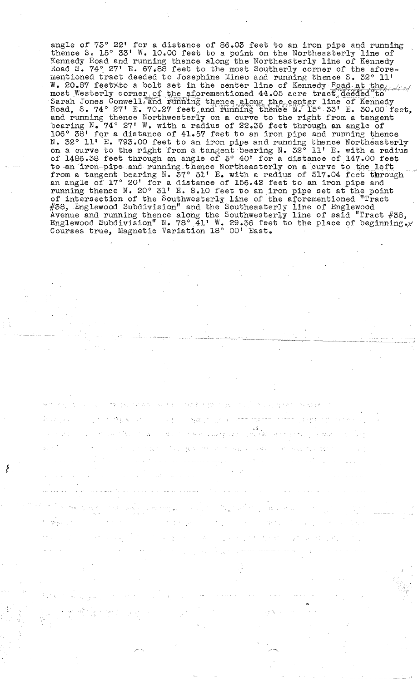angle of 73° 22' for a distance of 86.03 feet to an iron pipe and runnihg thence S. 15° 33' W. 10.00 feet to a point on the Northeasterly line of Kennedy Road and running thence along the Northeasterly line of Kennedy Road S. 74° 27' E. 67.88 feet to the most Southerly corner of the aforementioned tract deeded to Josephine Mineo and running thence S. 32° **11'**  W. 20.87 feetXto a bolt set in the center line of Kennedy Road at the *Lead* most Westerly corner of the aforementioned 44.05 acre tract deeded to the Sarah Jones Conwell, and running thence along the center line of Kennedy Road, S. 74° 27' E. 70.27 feet, and running thence N. 15° 33' E. 30.00 feet and running thence Northwesterly on a curve to the right from a tangent bearing  $N$ . 74° 27' W. with a radius of 22.35 feet through an angle of 106° 38' fqr a distance of 41.57 feet to an iron pipe and running thence N. 32° **11'** E. 793.00 feet to an iron pipe and running thence Northeasterly on a curve to the right from a tangent bearing N. 32° **11' E.** with a radius of 14,86.38 feet through an angle of 5° 40' for a distance of 147.00 feet to an iron pipe and running thence Northeasterly on a curve to the left to an iron pipe and running thence Northeasterly on a curve to the left from a tangent bearing N. 37° 51' E. with a radius of 517.04 feet through an angle of  $17^{\circ}$  20' for a distance of 156.42 feet to an iron pipe and running thence **N.** 20° **31'** E. 8.10 feet to an iron pipe set at the point of intersection of the Southwesterly line of the aforementioned "Tract #38, Englewood Subdivision" and the Southeasterly line of Englewood Avenue and running thence along the Southwesterly line of said "Tract  $#38$ , Englewood Subdivision" N. 78° 41' W. 29.36 feet to the place of beginning.x Courses true, Magnetic Variation 18° 00' East. '

,.

-, ,~,

~- --~--- .~------~--~-- ------------\_ ..

•

f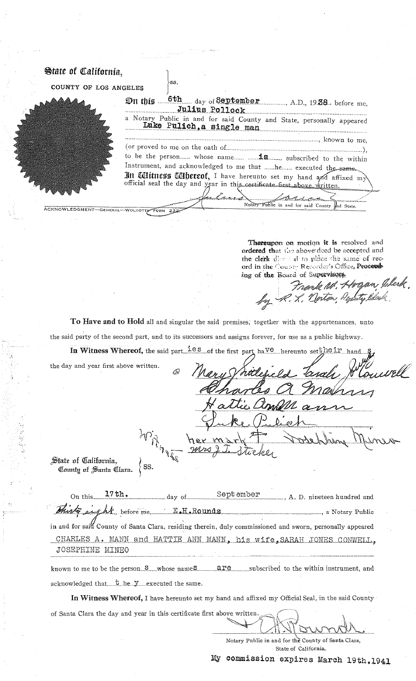| <b>State of California.</b> | -SS.                                                                                               |
|-----------------------------|----------------------------------------------------------------------------------------------------|
| COUNTY OF LOS ANGELES       |                                                                                                    |
|                             | 6th day of September A.D., 19.38. before mc,<br>$\mathfrak{D}$ n this<br>Julius Pollock            |
|                             | a Notary Public in and for said County and State, personally appeared<br>Luke Pulich, a single man |
|                             |                                                                                                    |
|                             |                                                                                                    |
|                             | to be the person whose name  subscribed to the within                                              |
|                             | Instrument, and acknowledged to me that he executed the same                                       |
|                             | In Ulitness Ulbereof, I have hereunto set my hand and affixed my                                   |
|                             | official seal the day and year in this certificate first above written.                            |
|                             |                                                                                                    |
|                             |                                                                                                    |
|                             | Notary Public in and for said County and State.<br>ACKNOWLEDGMENT-GENERAL-WOLCOTTS FORM 232        |

Thereupon on motion it is resolved and ordered that the above deed be accepted and the clerk disc and to place the same of record in the County Recorder's Office, Proceed ing of the Board of Supervisors

Jelerk Frank W. Hogan by R. L. Norton, Dep

To Have and to Hold all and singular the said premises, together with the appurtenances, unto the said party of the second part, and to its successors and assigns forever, for use as a public highway.

In Witness Whereof, the said part  $\frac{1 \text{ es}}{1 \text{ es}}$  of the first part have hereunto setthe in hand

the day and year first above written.

Q

State of California, County of Santa Clara.

 $\langle$  ss.

of Santa Clara the day and year in this certificate first above written.

 $17th.$ September On this\_  $day \text{ of }$ ..., A. D. nineteen hundred and <u>: E.H.Rounds</u>  $\pmb{\Lambda}$  , before me, . ...., a Notary Public in and for said County of Santa Clara, residing therein, duly commissioned and sworn, personally appeared

CHARLES A. MANN and HATTIE ANN MANN, his wife, SARAH JONES CONWELL, JOSEPHINE MINEO

are subscribed to the within instrument, and known to me to be the person...S......whose nameS...... acknowledged that .... t he ... y ..... executed the same.

In Witness Whereof, I have hereunto set my hand and affixed my Official Seal, in the said County

Notary Public in and for the County of Santa Clara, State of California.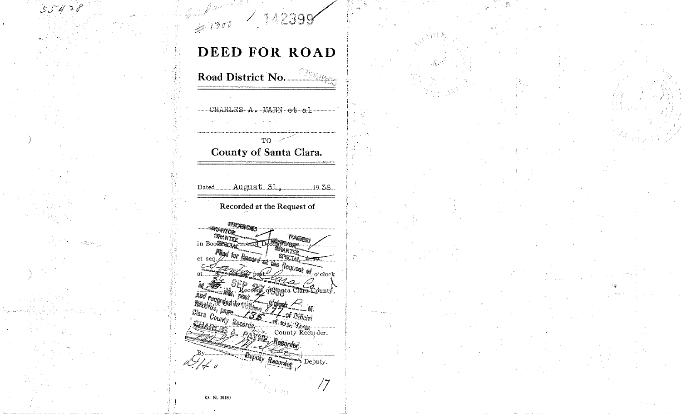$\frac{2}{47}$  1300 142398  $55428$ DEED FOR ROAD Road District No. 2000 CHARLES A. MANN et al  $TO \sim$ County of Santa Clara. Dated August 31, 19.38 Recorded at the Request of PROGRAM **ERANTOR** GRANTER PAGES in Boomer of of Décasy ware. Myd for Board of the Request of o'clock **GRANTER** et sea. at The Since of Capital Clara County, **Deputy Regarded** ?] L s  $\rightarrow$  Deputy. 77 O. N. 20180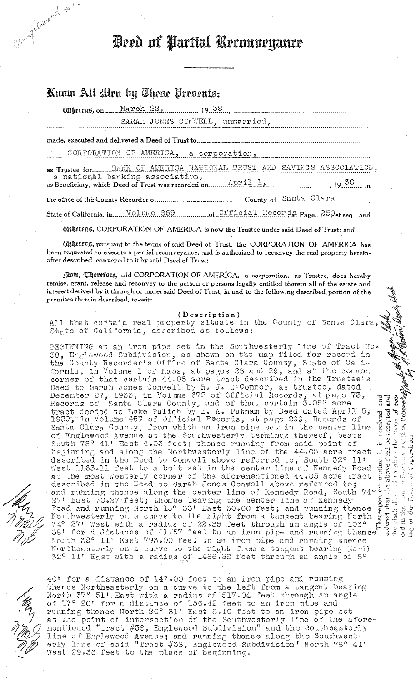Deed of Partial Reconomiance

# Know All Men by These Presents:

Win March 1902.

SARAH JONES CONWELL, unmarried,

CORPORATION OF AMERICA, a corporation, manufacturer and contraction

as Trustee for BANK OF AMERICA NATIONAL TRUST AND SAVINGS ASSOCIATION, a national banking association,  $\frac{\text{APR11}}{1}$ .  $\frac{1}{2}$ .  $\frac{38}{1}$ . 19.38..., in

State of California, in.......Volume 869 communications of Official Records Page 250et seq.; and

Willettas, CORPORATION OF AMERICA is now the Trustee under said Deed of Trust; and

Wiltersas, pursuant to the terms of said Deed of Trust, the CORPORATION OF AMERICA has been requested to execute a partial reconveyance, and is authorized to reconvey the real property hereinafter described, conveyed to it by said Deed of Trust;

form, Therefore, said CORPORATION OF AMERICA, a corporation, as Trustee, does hereby remise, grant, release and reconvey to the person or persons legally entitled thereto all of the estate and interest derived by it through or under said Deed of Trust, in and to the following described portion of the premises therein described, to-wit:

(Description)<br>All that certain real property situate in the County of Santa Clara,<br>State of California, described as follows:

resolved and<br>a necepted and<br>a none of rev and the M. Molow Molow Wesley be BEGINNING at an iron pipe set in the Southwesterly line of Tract No. 38, Englewood Subdivision, as shown on the map filed for record in<br>the County Recorder's Office of Santa Clara County, State of Cali-<br>fornia, in Volume 1 of Maps, at pages 28 and 29, and at the common<br>corner of that certai corner of that certain 44.05 acre tract described in the frustee's<br>Deed to Sarah Jones Conwell by R. J. O'Connor, as trustee, dated<br>December 27, 1933, in Volume 672 of Official Records, at page 73,<br>Records of Santa Clara C ar it is resolved<br>called the same<br>from the same<br>called along f Santa Clara County, from which an iron pipe set in the center line of Englewood Avenue at the Southwesterly terminus thereof, bears<br>South 78° 41' East 4.03 feet; thence running from said point of<br>beginning and along the Northwesterly line of the 44.05 acre tract  $\frac{1}{2} \frac{1}{\sqrt{2}} \frac{1}{\sqrt{2}}$ described in the Deed to Conwell above referred to, South 32° 11'  $\begin{array}{c} \text{macro} \\ \text{above} \\ \text{above} \\ \text{below} \\ \end{array}$ West 1163.11 feet to a bolt set in the center line of Kennedy Road<br>at the most Westerly corner of the aforementioned 44.05 acre tract<br>described in the Deed to Sarah Jones Conwell above referred to; and running thence along the center line of Kennedy Road, South 74° 5 and running thence along the center line of Kennedy Road, South 74° 5 27' East 70.27 feet; thence leaving the center line of Kennedy Road and running N  $\frac{1}{2}$ <br>  $\frac{1}{2}$ <br>  $\frac{1}{2}$ <br>  $\frac{1}{2}$ <br>  $\frac{1}{2}$ <br>  $\frac{1}{2}$ <br>  $\frac{1}{2}$ <br>  $\frac{1}{2}$ <br>  $\frac{1}{2}$ <br>  $\frac{1}{2}$ <br>  $\frac{1}{2}$ <br>  $\frac{1}{2}$ <br>  $\frac{1}{2}$ <br>  $\frac{1}{2}$ <br>  $\frac{1}{2}$ <br>  $\frac{1}{2}$ <br>  $\frac{1}{2}$ <br>  $\frac{1}{2}$ <br>  $\frac{1}{2}$ <br>  $\frac{1}{2}$ <br> North 32° 11' East 793.00 feet to an iron pipe and running thence Northeasterly on a curve to the right from a tangent bearing North 32° 11' East with a radius of 1486.38 feet through an angle of 5°

piace

 $\frac{Z}{Z}$ 

40' for a distance of 147.00 feet to an iron pipe and running thence Northeasterly on a curve to the left from a tangent bearing North 37° 51' East with a radius of 517.04 feet through an angle of 17° 20' for a distance of 156.42 feet to an iron pipe and<br>running thence North 20° 31' East 8.10 feet to an iron pipe set<br>at the point of intersection of the Southwesterly line of the aforementioned "Tract #38, Englewood Subdivision" and the Southeasterly line of Englewood Avenue; and running thence along the Southwest-<br>erly line of said "Tract #38, Englewood Subdivision" North 78° 41'<br>West 29.36 feet to the place of beginning.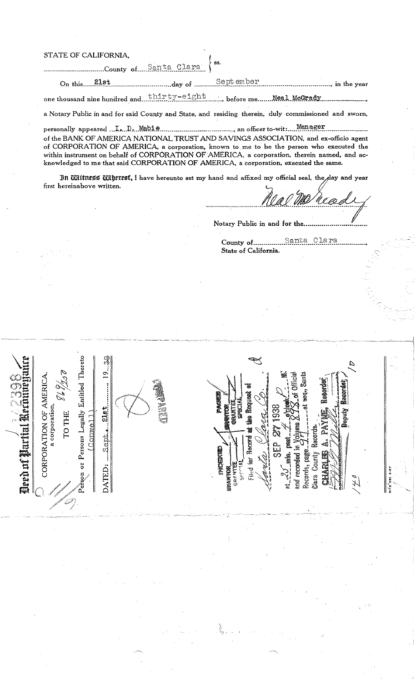## STATE OF CALIFORNIA,

 $\sqrt{\frac{1}{2}}$  .

 $\sim$  $\frac{1}{\sqrt{2}}$  ,  $\frac{1}{2}$ 

 $\frac{\mathbb{Z}}{\mathbb{E}}$  ,  $\frac{\mathbb{Z}}{\mathbb{E}}$  ,  $\frac{\mathbb{Z}}{\mathbb{E}}$  ,  $\frac{\mathbb{Z}}{\mathbb{E}}$  ,  $\frac{\mathbb{Z}}{\mathbb{E}}$  $\begin{array}{c} \begin{array}{c} \text{out} \ \text{in} \ \text{in} \end{array} \ \end{array}$  $\left\| \mathbf{H} \right\|$   $\leqslant$   $\frac{1}{2}$   $\left\| \mathbf{H} \right\|$ 

 $\frac{1}{\sqrt{\frac{2}{N}}}\sum_{\substack{\text{N=111} \text{of } \text{N=11}}}$ 

 $\begin{array}{c} \text{III} \ \text{D} \ \text{D} \ \text{D} \ \text{D} \ \text{D} \ \text{D} \ \text{D} \ \text{D} \ \text{D} \ \text{D} \ \text{D} \ \text{D} \ \text{D} \ \text{D} \ \text{D} \ \text{D} \ \text{D} \ \text{D} \ \text{D} \ \text{D} \ \text{D} \ \text{D} \ \text{D} \ \text{D} \ \text{D} \ \text{D} \ \text{D} \ \text{D} \ \text{D} \ \text{D} \ \text{D} \ \text{D} \ \text{D} \ \text{D} \ \text{$ 

/

 $1.1 \times 10^{-10}$  $\left.\tilde{\mathbf{F}}\right|_{\bigcirc}\diagup\diagup\mathbb{Z}$ -, - ,/~~;;}) ,

 $\sqrt{\frac{1}{2}}$  of  $\frac{1}{2}$  of  $\frac{1}{2}$ I**f Partitil A**<br>RPORATION OI<br>a corporation<br>TO THI<br>r Persons Legall  $\left\| \begin{array}{ccc} \displaystyle\prod_{a\in\mathbb{N}}\mathbb{R}^n \ \mathbb{R}^n \end{array} \right\|_{\mathbb{R}^n}$ 

 $\frac{1}{\sqrt{2}}$  .  $\frac{1}{\sqrt{2}}$ 

ereto<br>|<br>|

~II 0-:

**oP:** w, .... , OJ,

*i*

 $\bigwedge^4$ 

/'~,

~",-, ), *",,-r'"* ,.-".~~\_/ .~t--'\$' )d!

tt.<br>T

....Sept.

 $\frac{1}{2}$ 

 $\Xi^{\parallel}$ 

Conwell

# **Example 21 County of Santa Clara**  $\int$ <sup>ss.</sup> On this 21st 21st 21st Sept on Berther ...  $\frac{1}{2}$  ...  $\frac{1}{2}$  ...  $\frac{1}{2}$  ...  $\frac{1}{2}$  ...  $\frac{1}{2}$  ...  $\frac{1}{2}$  ...  $\frac{1}{2}$  ...  $\frac{1}{2}$  ...  $\frac{1}{2}$  ...  $\frac{1}{2}$  ...  $\frac{1}{2}$  ...  $\frac{1}{2}$  ...  $\frac{1}{2}$  .

one thousand nine hundred and  $\frac{\text{thirry-eight}}{\text{thirr.y-eight}}$  , before me ....... Neal McGrady ................

a Notary Public in and for said County and State, and residing therein, duly commissioned and sworn,

personally appeared  $\ldots$   $\ldots$   $\ldots$  Mabie ...  $\ldots$  ...  $\ldots$  ...  $\ldots$  an officer to-wit :  $\ldots$  Manager of the BANK OF AMERICA NATIONAL TRUST AND SAVINGS ASSOCIATION, and ex-officio agent of CORPORATION OF AMERICA, a corporation, known to me to be the person who executed the within instrument on behalf of CORPORATION OF AMERICA, a corporation, therein named, and acknowledged to me that said CORPORATION OF AMERICA, a corporation, executed the same.

In CHIIIness CHIIereof, I have hereunto set my hand and affixed my official seal, the day and year **first hereinabove written.** 

s; e tee :::>

 $\mathbf{g}$   $\mathbf{g}$   $\mathbf{g}$   $\mathbf{g}$ 

 $a^2$ 

\_ ,'0'" l'ccfc' ,t;E"" c~ 5 | , 5º **1 19** <sup>1</sup>,,~ ~\ 'is sf §' I: il :s 'Zji 194 <I> Il<: • Ql.\J

 $\frac{1}{2}$   $\frac{1}{2}$   $\frac{1}{2}$   $\frac{1}{2}$   $\frac{1}{2}$ '~'c i ,'" **,a..** ~c' ~ l ~J 0 l \_ \)a! . j \$,

 $1 - 7 = 8$  $\mathbb{E}\left[\mathbb{E}\left[\mathbb{E}\left[\mathbb{E}\left[\mathbb{E}\left[\mathbb{E}\left[\mathbb{E}\left[\mathbb{E}\left[\mathbb{E}\left[\mathbb{E}\left[\mathbb{E}\left[\mathbb{E}\left[\mathbb{E}\left[\mathbb{E}\left[\mathbb{E}\left[\mathbb{E}\left[\mathbb{E}\left[\mathbb{E}\left[\mathbb{E}\left[\mathbb{E}\left[\mathbb{E}\left[\mathbb{E}\left[\mathbb{E}\left[\mathbb{E}\left[\mathbb{E}\left[\mathbb{E}\left[\mathbb{E}\left[\mathbb{E}\left[\mathbb{E}\left[\mathbb{E}\left[\mathbb{E}\left[\math$ \_,..- , '~'~ ..E ~ \ E I ~ 0 0.. ~ 0 ~ . **tt:O=** ~ -c\_ **I ......... \ C) 00",** U:o.i\, *\_ Oz* \:. \_\_ -\" --l 'J, tZ'-O

 $\frac{1}{\frac{1}{2} \cdot 1} \cdot \frac{1}{\frac{1}{2} \cdot 1} \cdot \frac{1}{\frac{1}{2} \cdot 1} \cdot \frac{1}{\frac{1}{2} \cdot 1} \cdot \frac{1}{\frac{1}{2} \cdot 1} \cdot \frac{1}{\frac{1}{2} \cdot 1} \cdot \frac{1}{\frac{1}{2} \cdot 1} \cdot \frac{1}{\frac{1}{2} \cdot 1} \cdot \frac{1}{\frac{1}{2} \cdot 1} \cdot \frac{1}{\frac{1}{2} \cdot 1} \cdot \frac{1}{\frac{1}{2} \cdot 1} \cdot \frac{1}{\frac{1}{2$ 

 $\begin{equation*} \begin{equation*} \begin{bmatrix} \mathbf{1} & \mathbf{1} & \mathbf{1} & \mathbf{1} & \mathbf{1} & \mathbf{1} & \mathbf{1} & \mathbf{1} & \mathbf{1} & \mathbf{1} & \mathbf{1} & \mathbf{1} & \mathbf{1} & \mathbf{1} & \mathbf{1} & \mathbf{1} & \mathbf{1} & \mathbf{1} & \mathbf{1} & \mathbf{1} & \mathbf{1} & \mathbf{1} & \mathbf{1} & \mathbf{1} & \mathbf{1} & \mathbf{1} & \mathbf{1} & \mathbf{1} & \mathbf{$ 

--~,

 $\frac{1}{\frac{1}{2}}$  :  $\frac{1}{2}$   $\frac{1}{2}$   $\frac{1}{2}$   $\frac{1}{2}$   $\frac{1}{2}$ 

.--- ",-,,--" --I

'J

II

 $\bf{H}$ 

81 2.37<br>.  $\frac{1}{\sqrt{2}}$ 

Notary Public in and for the..........

County of \_\_\_\_\_\_\_\_\_\_\_\_ .... §g.n~.~ ... Q.l~.:r.~ ....... . State of California. . ..... ,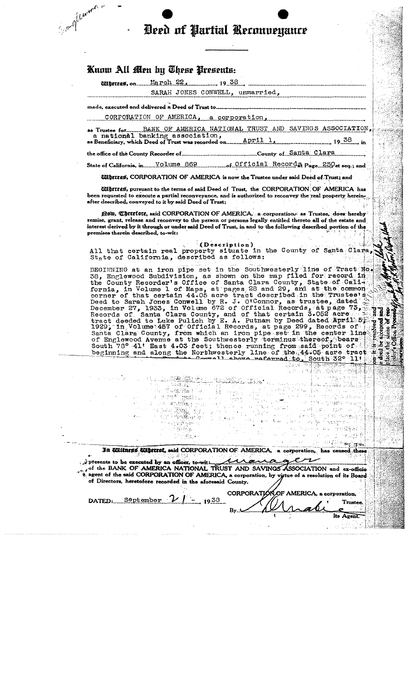# Deed of Partial Reconveyance

# Know All Men by These Presents:

Support of Currence

**Ultercas, on........ March. 22, 19.38.** 

SARAH JONES CONWELL, unmarried,

e, executed and delivered a Deed of Ti

CORPORATION OF AMERICA corporation.

NATIONAL TRUST AND SAVINGS ASSOCIATION  $19^{38}$  in

....County of Santa Clara the office of the County Recorder of..............

State of California, in. Volume 869 State of Official Records Page 250et seq.; and

**Miljetras, CORPORATION OF AMERICA** is now the Trustee under said Deed of Trust; and

*IIIIpereas, pursuant to the terms of said Deed of Trust, the CORPORATION OF AMERICA has* en requested to execute a partial reconveyance, and is authorized to reconvey the real property hereinafter described, conveyed to it by said Deed of Trust;

filom, Cherefore, said CORPORATION OF AMERICA, a corporation, as Trustee, does hereby remise, grant, release and reconvey to the person or persons legally entitled thereto all of the estate and interest derived by it through or under said Deed of Trust, in and to the following described portion of the premises therein described, to-wit:

(Description)<br>All that certain real property situate in the County of Santa Clara,<br>State of California, described as follows:

BEGINNING at an iron pipe set in the Southwesterly line of Tract No.<br>38, Englewood Subduristing, as shown on the map filed for record in<br>58. Englewood Subduristing, as shown on the map filed for record in<br>the County Record all chove referred to, South 32° 11'

In Ultiment Ultreest, said CORPORATION OF AMERICA, a corporation, has caused these

By.

presents to be executed by an officer, to with the same of the BANK OF AMERICA NATIONAL TRUST AND SAVINGS ASSOCIATION and ex-officion agent of the said CORPORATION OF AMERICA, a corporation, by virtue of a resolution of it of Directors, heretofore recorded in the aforesaid County. CORPORATION OF AMERICA, a corporation,

Some to a stable of the sta

j.j

<sup>av</sup> pos

l Tenggal<br>Salah Barat

'ਤੇ ਸ਼ੁਕੀ ... i matake pres

 $\mathbb{R}^{n+1}_{\infty}$ 

مدينيان والإرد n se arab

DATED. September  $\mathcal{V}$  | - 1938

Its Agent. a tika

Trustee

 $635\%$ 

2008年1月12

**ALC** ह,ह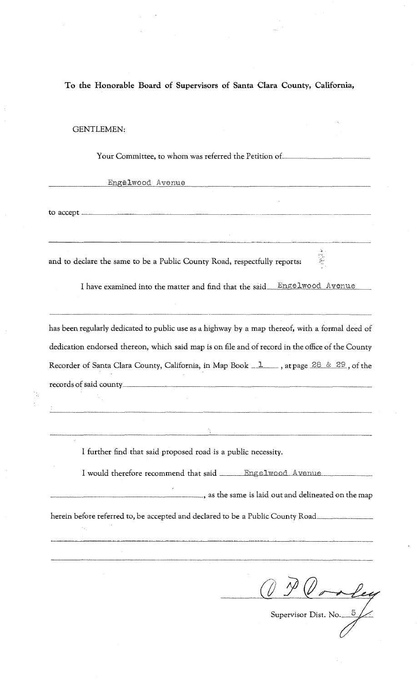**To the Honorable Board of Supervisors of Santa Clara County, California,** 

# GENTLEMEN:

Your Committee, to whom was referred the Petition of....

Engelwood Avenue

to accept  $\frac{1}{\sqrt{1-\frac{1}{2}}\sqrt{1-\frac{1}{2}}\sqrt{1-\frac{1}{2}}\sqrt{1-\frac{1}{2}}\sqrt{1-\frac{1}{2}}\sqrt{1-\frac{1}{2}}\sqrt{1-\frac{1}{2}}\sqrt{1-\frac{1}{2}}\sqrt{1-\frac{1}{2}}\sqrt{1-\frac{1}{2}}\sqrt{1-\frac{1}{2}}\sqrt{1-\frac{1}{2}}\sqrt{1-\frac{1}{2}}\sqrt{1-\frac{1}{2}}\sqrt{1-\frac{1}{2}}\sqrt{1-\frac{1}{2}}\sqrt{1-\frac{1}{2}}\sqrt{1-\frac{1}{2}}\sqrt{1-\frac{$ 

ņ.

 $\epsilon_{\rm m}$ 

and to declare the same to be a Public County Road, respectfully reports:

I have examined into the matter and find that the said\_Engelwood Avenue

---------------------- -- ~-------------------

has been regularly dedicated to public use as a highway by a map thereof, with a formal deed of dedication endorsed thereon, which said map is on file and of record in the office of the County Recorder of Santa Clara County, California, in Map Book  $\frac{1}{2}$ , at page  $\frac{28}{6}$   $\frac{8}{29}$ , of the records of said county \_\_ ~~\_~\_~~ \_\_\_ ~~~ \_\_ ~~~~~\_~~~\_~~~\_

I further find that said proposed road is a public necessity.

I would therefore recommend that said \_\_\_\_\_Engelwood Avenue

 $\frac{1}{\sqrt{2\pi}}$ , as the same is laid out and delineated on the map

herein before referred to, be accepted and declared to be a Public County Road\_\_

---------------

<u> - Januari 1999 - Januari 1999 - Januari 1999 - Januari 1999 - Januari 1999 - Januari 1999 - Januari 1999 - Januari 1999 - Januari 1999 - Januari 1999 - Januari 1999 - Januari 1999 - Januari 1999 - Januari 1999 - Januari </u>

Supervisor Dist. No...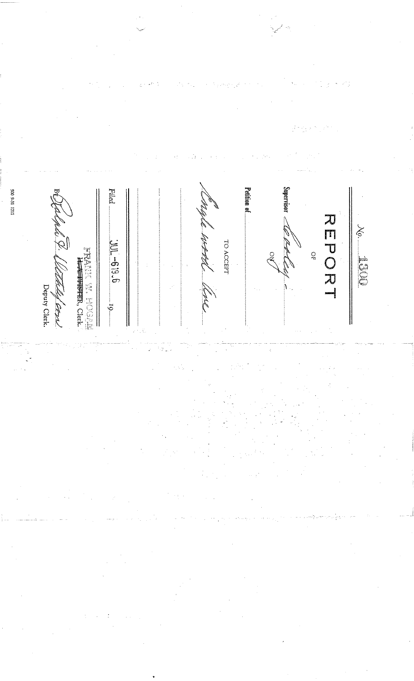Supervisor = 1711 1876 005 Petition of Filed スロフロヒー  $X_9$ . **September 19** TO ACCEPT  $9°619 - T00.$ **KRANA WA WASAN**<br>Herry Ward Ward  $\frac{1}{2}$ **COLE** /<br>Deputy Clerk. That Cours Ğ